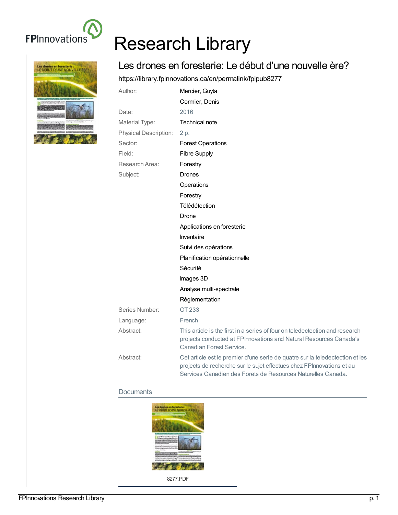

# Les drones en foresterie :<br>LE DÉBUT D'UNE NOUVELLE ÈRE

## Research Library

### Les drones en foresterie: Le début d'une nouvelle ère?

<https://library.fpinnovations.ca/en/permalink/fpipub8277>

| Author:                      | Mercier, Guyta                                                                                                                                                                                                         |
|------------------------------|------------------------------------------------------------------------------------------------------------------------------------------------------------------------------------------------------------------------|
|                              | Cormier, Denis                                                                                                                                                                                                         |
| Date:                        | 2016                                                                                                                                                                                                                   |
| Material Type:               | Technical note                                                                                                                                                                                                         |
| <b>Physical Description:</b> | 2 p.                                                                                                                                                                                                                   |
| Sector:                      | <b>Forest Operations</b>                                                                                                                                                                                               |
| Field:                       | <b>Fibre Supply</b>                                                                                                                                                                                                    |
| Research Area:               | Forestry                                                                                                                                                                                                               |
| Subject:                     | Drones                                                                                                                                                                                                                 |
|                              | Operations                                                                                                                                                                                                             |
|                              | Forestry                                                                                                                                                                                                               |
|                              | Télédétection                                                                                                                                                                                                          |
|                              | Drone                                                                                                                                                                                                                  |
|                              | Applications en foresterie                                                                                                                                                                                             |
|                              | Inventaire                                                                                                                                                                                                             |
|                              | Suivi des opérations                                                                                                                                                                                                   |
|                              | Planification opérationnelle                                                                                                                                                                                           |
|                              | Sécurité                                                                                                                                                                                                               |
|                              | Images 3D                                                                                                                                                                                                              |
|                              | Analyse multi-spectrale                                                                                                                                                                                                |
|                              | Réglementation                                                                                                                                                                                                         |
| Series Number:               | OT 233                                                                                                                                                                                                                 |
| Language:                    | French                                                                                                                                                                                                                 |
| Abstract:                    | This article is the first in a series of four on teledectection and research<br>projects conducted at FPInnovations and Natural Resources Canada's<br>Canadian Forest Service.                                         |
| Abstract:                    | Cet article est le premier d'une serie de quatre sur la teledectection et les<br>projects de recherche sur le sujet effectues chez FPInnovations et au<br>Services Canadien des Forets de Resources Naturelles Canada. |

#### **Documents**



8277.PDF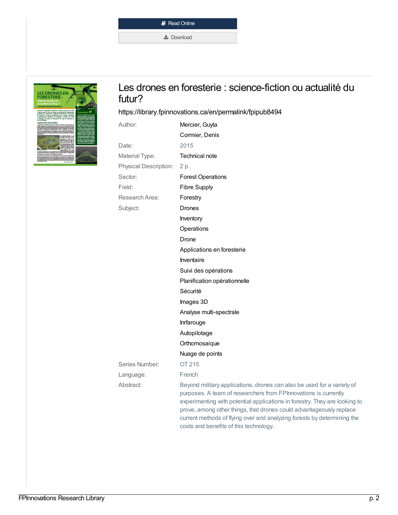| Read Online             |
|-------------------------|
| $\frac{1}{26}$ Download |



#### Les drones en foresterie : science-fiction ou actualité du futur?

#### <https://library.fpinnovations.ca/en/permalink/fpipub8494>

| Author:                      | Mercier, Guyta                                                                                                                                                                                                                                                                                                                                                            |
|------------------------------|---------------------------------------------------------------------------------------------------------------------------------------------------------------------------------------------------------------------------------------------------------------------------------------------------------------------------------------------------------------------------|
|                              | Cormier, Denis                                                                                                                                                                                                                                                                                                                                                            |
| Date:                        | 2015                                                                                                                                                                                                                                                                                                                                                                      |
| Material Type:               | Technical note                                                                                                                                                                                                                                                                                                                                                            |
| <b>Physical Description:</b> | 2 p.                                                                                                                                                                                                                                                                                                                                                                      |
| Sector:                      | <b>Forest Operations</b>                                                                                                                                                                                                                                                                                                                                                  |
| Field:                       | <b>Fibre Supply</b>                                                                                                                                                                                                                                                                                                                                                       |
| Research Area:               | Forestry                                                                                                                                                                                                                                                                                                                                                                  |
| Subject:                     | Drones                                                                                                                                                                                                                                                                                                                                                                    |
|                              | Inventory                                                                                                                                                                                                                                                                                                                                                                 |
|                              | Operations                                                                                                                                                                                                                                                                                                                                                                |
|                              | Drone                                                                                                                                                                                                                                                                                                                                                                     |
|                              | Applications en foresterie                                                                                                                                                                                                                                                                                                                                                |
|                              | Inventaire                                                                                                                                                                                                                                                                                                                                                                |
|                              | Suivi des opérations                                                                                                                                                                                                                                                                                                                                                      |
|                              | Planification opérationnelle                                                                                                                                                                                                                                                                                                                                              |
|                              | Sécurité                                                                                                                                                                                                                                                                                                                                                                  |
|                              | Images 3D                                                                                                                                                                                                                                                                                                                                                                 |
|                              | Analyse multi-spectrale                                                                                                                                                                                                                                                                                                                                                   |
|                              | Inrfarouge                                                                                                                                                                                                                                                                                                                                                                |
|                              | Autopilotage                                                                                                                                                                                                                                                                                                                                                              |
|                              | Orthomosaique                                                                                                                                                                                                                                                                                                                                                             |
|                              | Nuage de points                                                                                                                                                                                                                                                                                                                                                           |
| Series Number:               | OT 215                                                                                                                                                                                                                                                                                                                                                                    |
| Language:                    | French                                                                                                                                                                                                                                                                                                                                                                    |
| Abstract:                    | Beyond military applications, drones can also be used for a variety of<br>purposes. A team of researchers from FPInnovations is currently<br>experimenting with potential applications in forestry. They are looking to<br>prove, among other things, that drones could advantageously replace<br>current methods of flying over and analyzing forests by determining the |

costs and benefits of this technology.